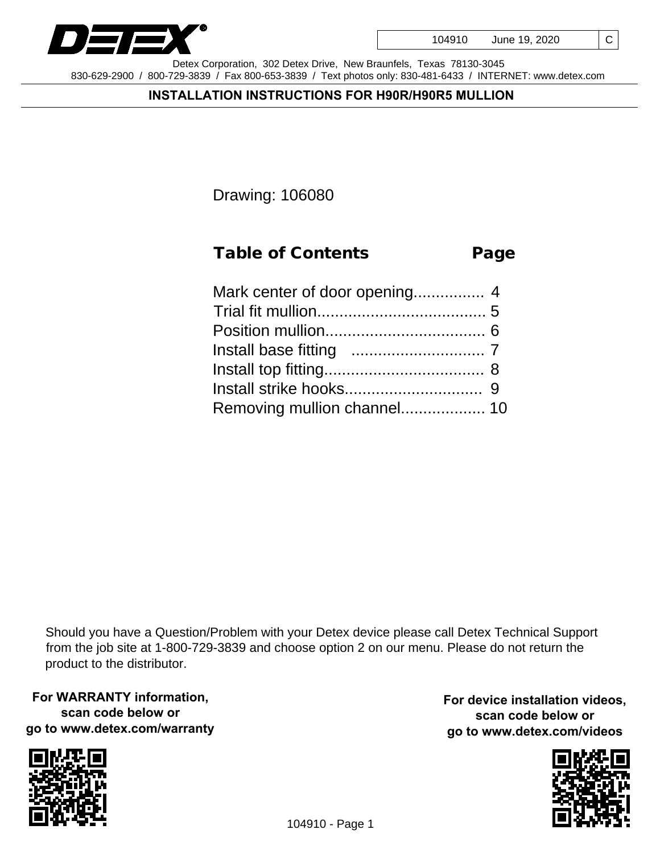

C



Detex Corporation, 302 Detex Drive, New Braunfels, Texas 78130-3045 830-629-2900 / 800-729-3839 / Fax 800-653-3839 / Text photos only: 830-481-6433 / INTERNET: www.detex.com

#### **INSTALLATION INSTRUCTIONS FOR H90R/H90R5 MULLION**

Drawing: 106080

| <b>Table of Contents</b> | Page |
|--------------------------|------|
|                          |      |
|                          |      |

Should you have a Question/Problem with your Detex device please call Detex Technical Support from the job site at 1-800-729-3839 and choose option 2 on our menu. Please do not return the product to the distributor.

**For WARRANTY information, scan code below or go to www.detex.com/warranty**



**For device installation videos, scan code below or go to www.detex.com/videos**

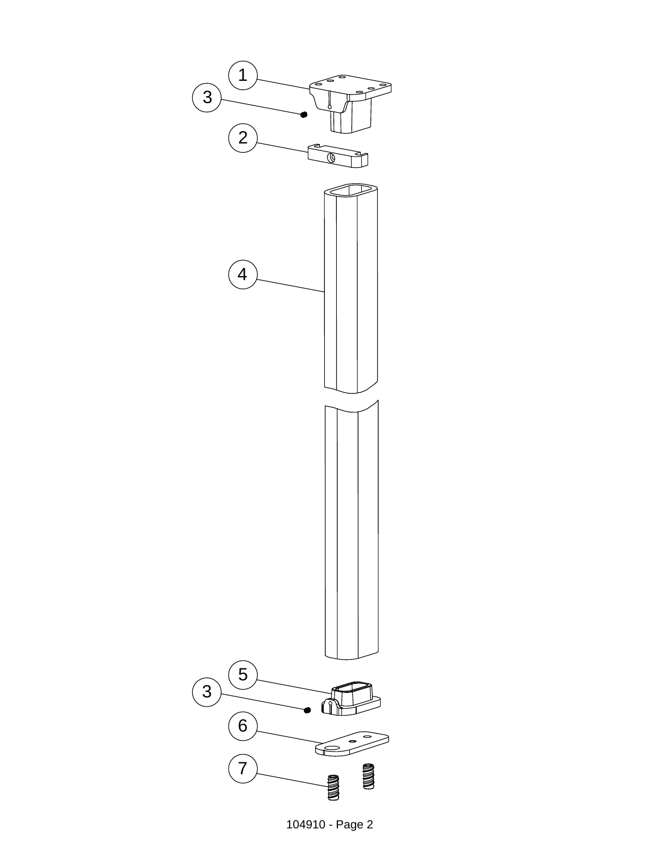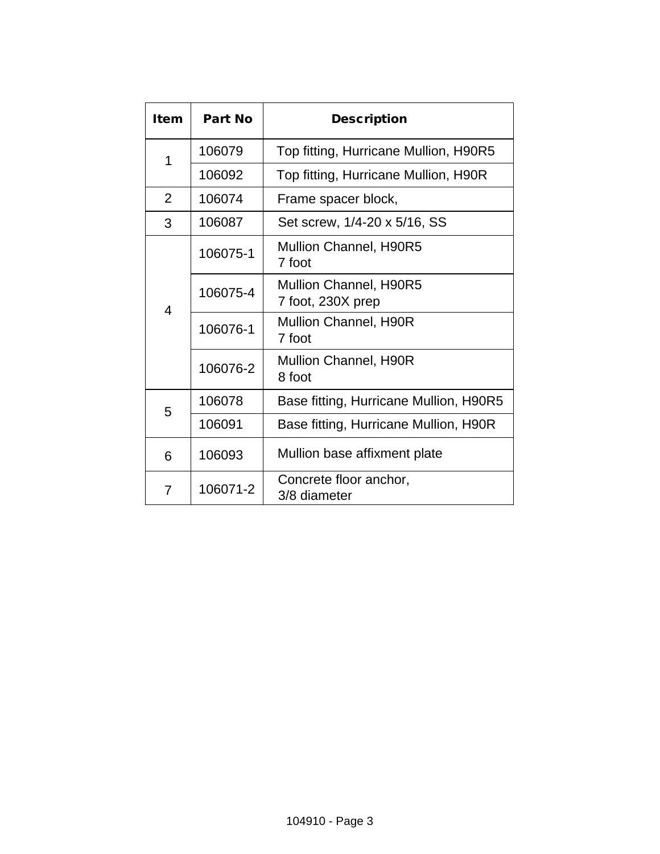| Item        | Part No  | Description                                 |  |
|-------------|----------|---------------------------------------------|--|
| 1           | 106079   | Top fitting, Hurricane Mullion, H90R5       |  |
|             | 106092   | Top fitting, Hurricane Mullion, H90R        |  |
| 2           | 106074   | Frame spacer block,                         |  |
| 3           | 106087   | Set screw, 1/4-20 x 5/16, SS                |  |
| 106075-1    |          | Mullion Channel, H90R5<br>7 foot            |  |
| 4           | 106075-4 | Mullion Channel, H90R5<br>7 foot, 230X prep |  |
|             | 106076-1 | <b>Mullion Channel, H90R</b><br>7 foot      |  |
|             | 106076-2 | <b>Mullion Channel, H90R</b><br>8 foot      |  |
| 106078<br>5 |          | Base fitting, Hurricane Mullion, H90R5      |  |
|             | 106091   | Base fitting, Hurricane Mullion, H90R       |  |
| 6           | 106093   | Mullion base affixment plate                |  |
| 7           | 106071-2 | Concrete floor anchor,<br>3/8 diameter      |  |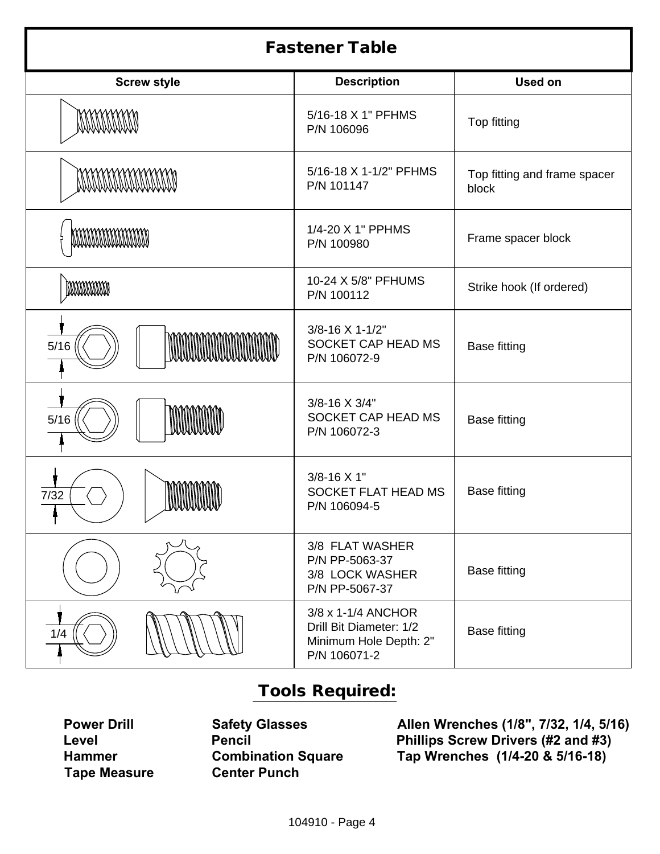| <b>Fastener Table</b>     |                                                                                         |                                       |  |  |
|---------------------------|-----------------------------------------------------------------------------------------|---------------------------------------|--|--|
| <b>Screw style</b>        | <b>Description</b>                                                                      | <b>Used on</b>                        |  |  |
| MANAMAN                   | 5/16-18 X 1" PFHMS<br>P/N 106096                                                        | Top fitting                           |  |  |
| <b>MANAMANAMANA</b>       | 5/16-18 X 1-1/2" PFHMS<br>P/N 101147                                                    | Top fitting and frame spacer<br>block |  |  |
| <b>MATHAMATHAMATHAM</b>   | 1/4-20 X 1" PPHMS<br>P/N 100980                                                         | Frame spacer block                    |  |  |
| <b>MANAMANA</b>           | 10-24 X 5/8" PFHUMS<br>P/N 100112                                                       | Strike hook (If ordered)              |  |  |
| <b>MAMMANAMAN</b><br>5/16 | 3/8-16 X 1-1/2"<br>SOCKET CAP HEAD MS<br>P/N 106072-9                                   | <b>Base fitting</b>                   |  |  |
| $5/16$                    | 3/8-16 X 3/4"<br>SOCKET CAP HEAD MS<br>P/N 106072-3                                     | <b>Base fitting</b>                   |  |  |
| 7/32<br>wwwww.            | 3/8-16 X 1"<br>SOCKET FLAT HEAD MS<br>P/N 106094-5                                      | <b>Base fitting</b>                   |  |  |
|                           | 3/8 FLAT WASHER<br>P/N PP-5063-37<br>3/8 LOCK WASHER<br>P/N PP-5067-37                  | <b>Base fitting</b>                   |  |  |
| 1/4                       | 3/8 x 1-1/4 ANCHOR<br>Drill Bit Diameter: 1/2<br>Minimum Hole Depth: 2"<br>P/N 106071-2 | <b>Base fitting</b>                   |  |  |

#### Tools Required:

**Tape Measure** 

**Hammer Combination Square Tap Wrenches (1/4-20 & 5/16-18)**

**Power Drill Safety Glasses Allen Wrenches (1/8", 7/32, 1/4, 5/16) Level Pencil Phillips Screw Drivers (#2 and #3)**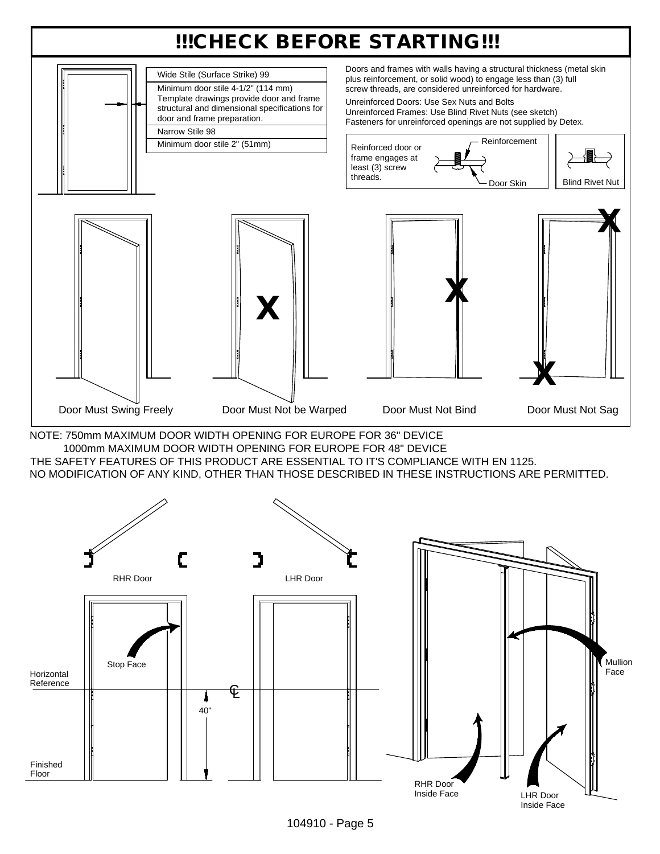#### !!!CHECK BEFORE STARTING!!!



NOTE: 750mm MAXIMUM DOOR WIDTH OPENING FOR EUROPE FOR 36" DEVICE 1000mm MAXIMUM DOOR WIDTH OPENING FOR EUROPE FOR 48" DEVICE THE SAFETY FEATURES OF THIS PRODUCT ARE ESSENTIAL TO IT'S COMPLIANCE WITH EN 1125. NO MODIFICATION OF ANY KIND, OTHER THAN THOSE DESCRIBED IN THESE INSTRUCTIONS ARE PERMITTED.



104910 - Page 5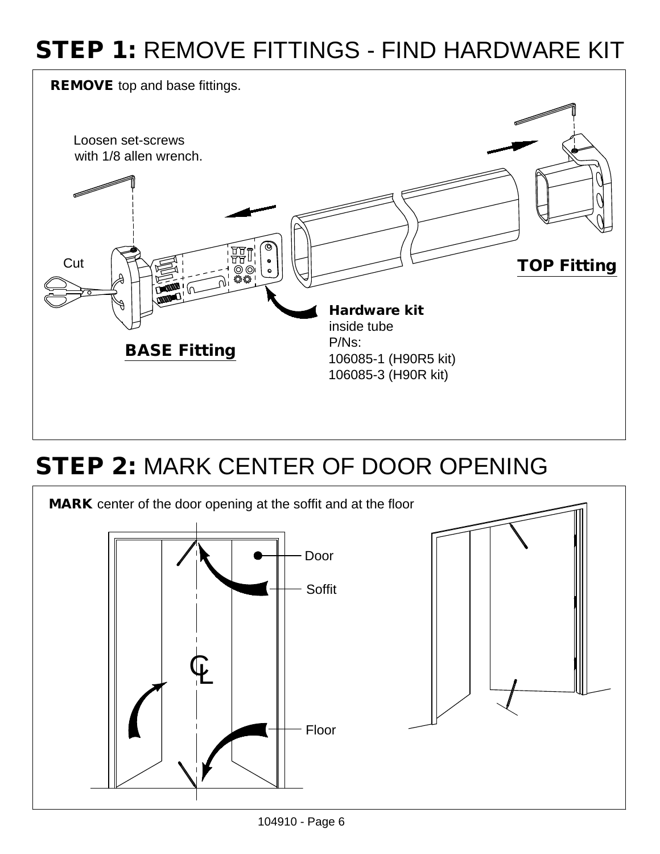#### STEP 1: REMOVE FITTINGS - FIND HARDWARE KIT



#### STEP 2: MARK CENTER OF DOOR OPENING



<sup>104910 -</sup> Page 6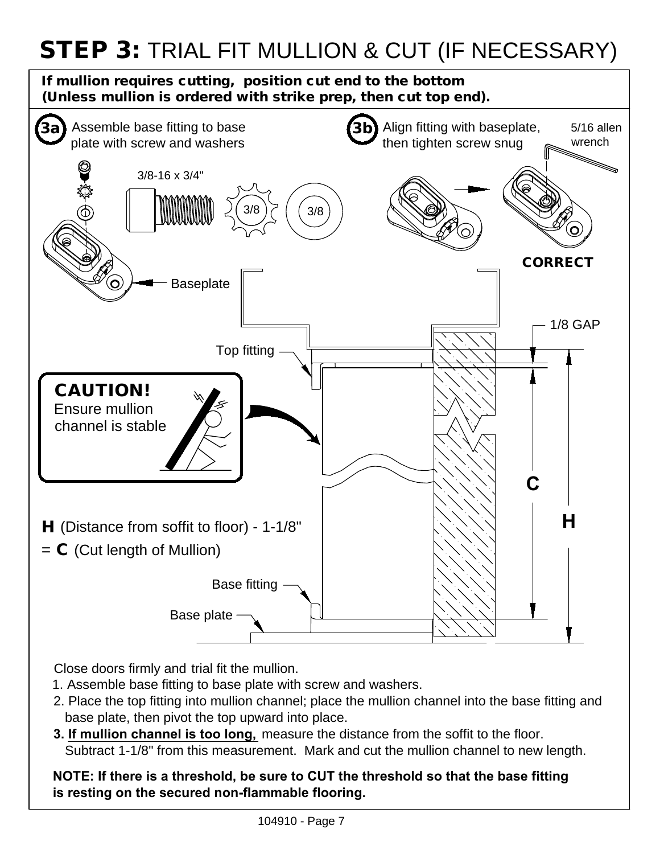### STEP 3: TRIAL FIT MULLION & CUT (IF NECESSARY)

If mullion requires cutting, position cut end to the bottom (Unless mullion is ordered with strike prep, then cut top end).



Close doors firmly and trial fit the mullion.

- 1. Assemble base fitting to base plate with screw and washers.
- 2. Place the top fitting into mullion channel; place the mullion channel into the base fitting and base plate, then pivot the top upward into place.
- **3. If mullion channel is too long,** measure the distance from the soffit to the floor. Subtract 1-1/8" from this measurement. Mark and cut the mullion channel to new length.

**NOTE: If there is a threshold, be sure to CUT the threshold so that the base fitting is resting on the secured non-flammable flooring.**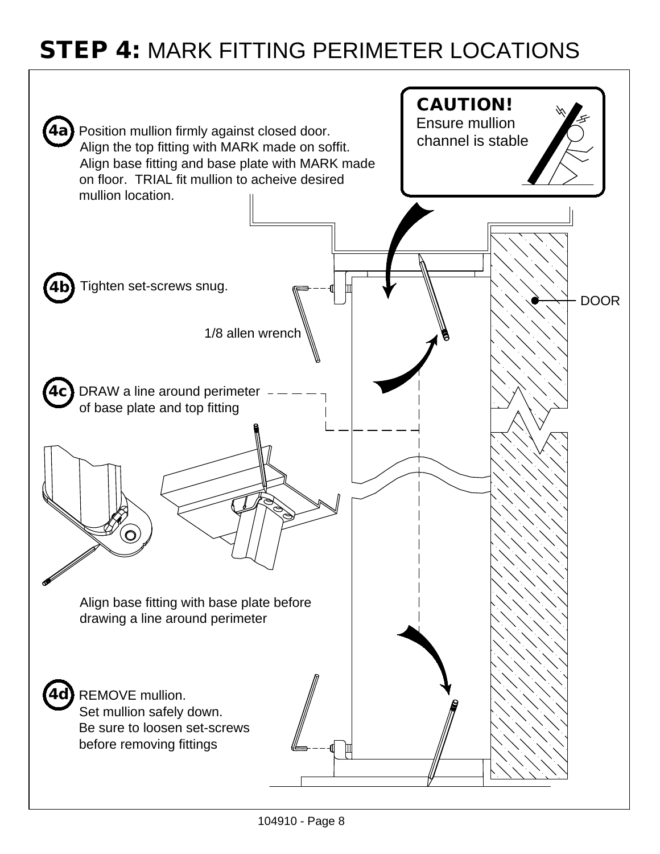#### STEP 4: MARK FITTING PERIMETER LOCATIONS

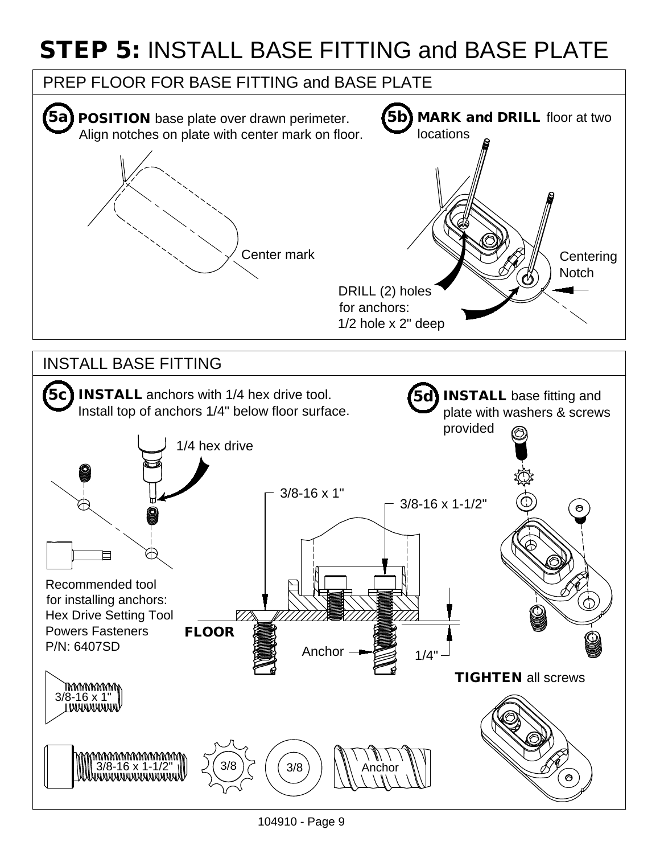## STEP 5: INSTALL BASE FITTING and BASE PLATE



104910 - Page 9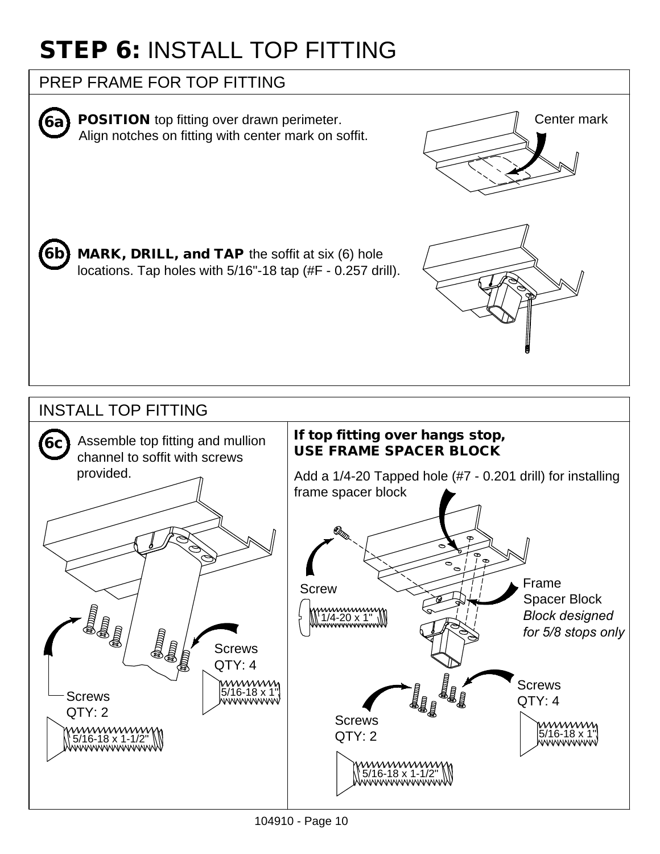# STEP 6: INSTALL TOP FITTING

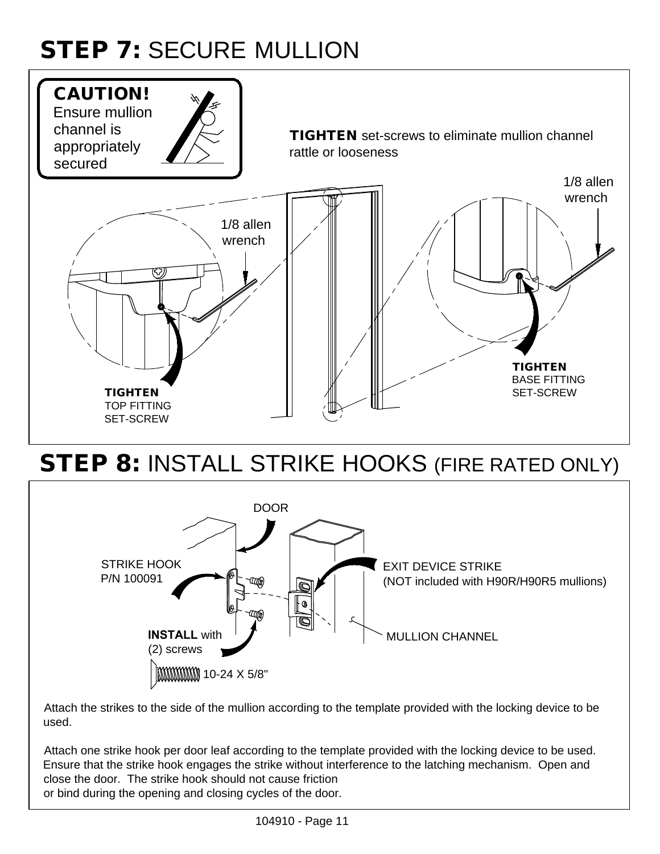# STEP 7: SECURE MULLION



#### STEP 8: INSTALL STRIKE HOOKS (FIRE RATED ONLY)



Attach the strikes to the side of the mullion according to the template provided with the locking device to be used.

Attach one strike hook per door leaf according to the template provided with the locking device to be used. Ensure that the strike hook engages the strike without interference to the latching mechanism. Open and close the door. The strike hook should not cause friction or bind during the opening and closing cycles of the door.